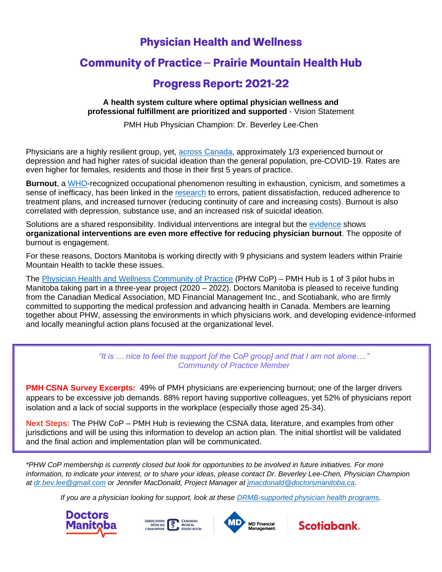# **Physician Health and Wellness**

# **Community of Practice - Prairie Mountain Health Hub**

# **Progress Report: 2021-22**

#### **A health system culture where optimal physician wellness and professional fulfillment are prioritized and supported** - Vision Statement

PMH Hub Physician Champion: Dr. Beverley Lee-Chen

Physicians are a highly resilient group, yet, [across Canada,](https://www.cma.ca/sites/default/files/2018-11/nph-survey-e.pdf) approximately 1/3 experienced burnout or depression and had higher rates of suicidal ideation than the general population, pre-COVID-19. Rates are even higher for females, residents and those in their first 5 years of practice.

**Burnout**, a [WHO-](https://www.who.int/news/item/28-05-2019-burn-out-an-occupational-phenomenon-international-classification-of-diseases)recognized occupational phenomenon resulting in exhaustion, cynicism, and sometimes a sense of inefficacy, has been linked in the [research](https://www.mayoclinicproceedings.org/article/S0025-6196(16)30625-5/pdf) to errors, patient dissatisfaction, reduced adherence to treatment plans, and increased turnover (reducing continuity of care and increasing costs). Burnout is also correlated with depression, substance use, and an increased risk of suicidal ideation.

Solutions are a shared responsibility. Individual interventions are integral but the [evidence](https://jamanetwork.com/journals/jamainternalmedicine/fullarticle/2588814) shows **organizational interventions are even more effective for reducing physician burnout**. The opposite of burnout is engagement.

For these reasons, Doctors Manitoba is working directly with 9 physicians and system leaders within Prairie Mountain Health to tackle these issues.

The [Physician Health and Wellness Community of Practice](https://doctorsmanitoba.ca/about-us/advocacy-policy/physician-health-wellness) (PHW CoP) – PMH Hub is 1 of 3 pilot hubs in Manitoba taking part in a three-year project (2020 – 2022). Doctors Manitoba is pleased to receive funding from the Canadian Medical Association, MD Financial Management Inc., and Scotiabank, who are firmly committed to supporting the medical profession and advancing health in Canada. Members are learning together about PHW, assessing the environments in which physicians work, and developing evidence-informed and locally meaningful action plans focused at the organizational level.

> *"It is … nice to feel the support [of the CoP group] and that I am not alone…." Community of Practice Member*

**PMH CSNA Survey Excerpts:** 49% of PMH physicians are experiencing burnout; one of the larger drivers appears to be excessive job demands. 88% report having supportive colleagues, yet 52% of physicians report isolation and a lack of social supports in the workplace (especially those aged 25-34).

**Next Steps:** The PHW CoP – PMH Hub is reviewing the CSNA data, literature, and examples from other jurisdictions and will be using this information to develop an action plan. The initial shortlist will be validated and the final action and implementation plan will be communicated.

*\*PHW CoP membership is currently closed but look for opportunities to be involved in future initiatives. For more information, to indicate your interest, or to share your ideas, please contact Dr. Beverley Lee-Chen, Physician Champion at [dr.bev.lee@gmail.com](mailto:dr.bev.lee@gmail.com) or Jennifer MacDonald, Project Manager at [jmacdonald@doctorsmanitoba.ca.](mailto:jmacdonald@doctorsmanitoba.ca)*

*If you are a physician looking for support, look at these [DRMB-supported physician health programs.](https://doctorsmanitoba.ca/physician-health/getting-help)*







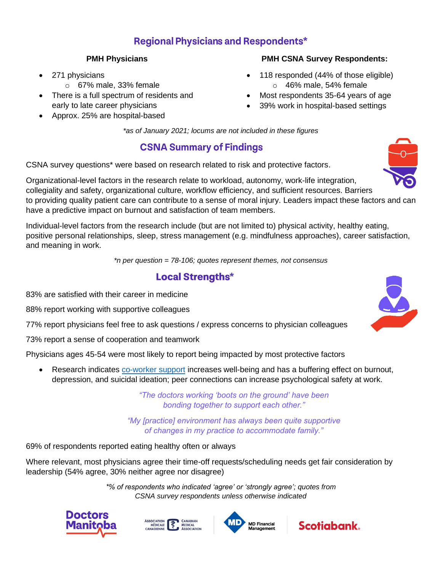### **Regional Physicians and Respondents\***

### **PMH Physicians**

- 271 physicians
	- $\circ$  67% male, 33% female
- There is a full spectrum of residents and early to late career physicians
- Approx. 25% are hospital-based

### **PMH CSNA Survey Respondents:**

- 118 responded (44% of those eligible) o 46% male, 54% female
- Most respondents 35-64 years of age
- 39% work in hospital-based settings

*\*as of January 2021; locums are not included in these figures*

## **CSNA Summary of Findings**

CSNA survey questions\* were based on research related to risk and protective factors.

Organizational-level factors in the research relate to workload, autonomy, work-life integration, collegiality and safety, organizational culture, workflow efficiency, and sufficient resources. Barriers to providing quality patient care can contribute to a sense of moral injury. Leaders impact these factors and can have a predictive impact on burnout and satisfaction of team members.

Individual-level factors from the research include (but are not limited to) physical activity, healthy eating, positive personal relationships, sleep, stress management (e.g. mindfulness approaches), career satisfaction, and meaning in work.

*\*n per question = 78-106; quotes represent themes, not consensus*

### **Local Strengths\***

83% are satisfied with their career in medicine

88% report working with supportive colleagues

77% report physicians feel free to ask questions / express concerns to physician colleagues

73% report a sense of cooperation and teamwork

Physicians ages 45-54 were most likely to report being impacted by most protective factors

• Research indicates [co-worker support](https://soci.ucalgary.ca/manageprofile/sites/soci.ucalgary.ca.manageprofile/files/unitis/publications/233-32724/well%2Bbeing%2Band%2Bphysicians.pdf) increases well-being and has a buffering effect on burnout, depression, and suicidal ideation; peer connections can increase psychological safety at work.

> *"The doctors working 'boots on the ground' have been bonding together to support each other."*

*"My [practice] environment has always been quite supportive of changes in my practice to accommodate family."*

69% of respondents reported eating healthy often or always

Where relevant, most physicians agree their time-off requests/scheduling needs get fair consideration by leadership (54% agree, 30% neither agree nor disagree)

> *\*% of respondents who indicated 'agree' or 'strongly agree'; quotes from CSNA survey respondents unless otherwise indicated*











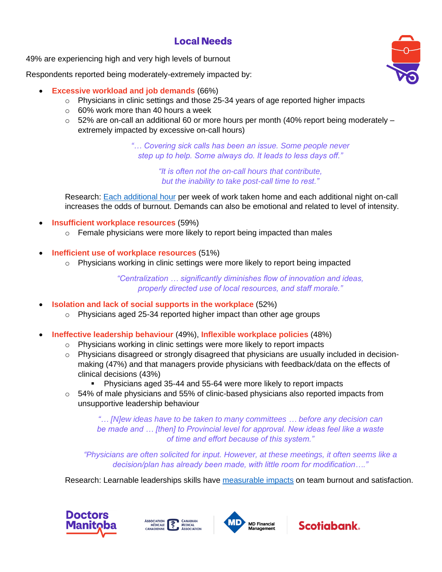## **Local Needs**

49% are experiencing high and very high levels of burnout

Respondents reported being moderately-extremely impacted by:

- **Excessive workload and job demands** (66%)
	- $\circ$  Physicians in clinic settings and those 25-34 years of age reported higher impacts
	- $\circ$  60% work more than 40 hours a week
	- $\circ$  52% are on-call an additional 60 or more hours per month (40% report being moderately extremely impacted by excessive on-call hours)

*"… Covering sick calls has been an issue. Some people never step up to help. Some always do. It leads to less days off."*

> *"It is often not the on-call hours that contribute, but the inability to take post-call time to rest."*

Research: [Each additional hour](https://onlinelibrary.wiley.com/doi/full/10.1111/joim.12752) per week of work taken home and each additional night on-call increases the odds of burnout. Demands can also be emotional and related to level of intensity.

- **Insufficient workplace resources** (59%)
	- $\circ$  Female physicians were more likely to report being impacted than males
- **Inefficient use of workplace resources** (51%)
	- $\circ$  Physicians working in clinic settings were more likely to report being impacted

*"Centralization … significantly diminishes flow of innovation and ideas, properly directed use of local resources, and staff morale."*

- **Isolation and lack of social supports in the workplace** (52%)
	- $\circ$  Physicians aged 25-34 reported higher impact than other age groups
- **Ineffective leadership behaviour** (49%), **Inflexible workplace policies** (48%)
	- o Physicians working in clinic settings were more likely to report impacts
		- $\circ$  Physicians disagreed or strongly disagreed that physicians are usually included in decisionmaking (47%) and that managers provide physicians with feedback/data on the effects of clinical decisions (43%)
			- Physicians aged 35-44 and 55-64 were more likely to report impacts
		- $\circ$  54% of male physicians and 55% of clinic-based physicians also reported impacts from unsupportive leadership behaviour

*"… [N]ew ideas have to be taken to many committees … before any decision can be made and … [then] to Provincial level for approval. New ideas feel like a waste of time and effort because of this system."*

*"Physicians are often solicited for input. However, at these meetings, it often seems like a decision/plan has already been made, with little room for modification…."*

Research: Learnable leaderships skills have [measurable impacts](https://pubmed.ncbi.nlm.nih.gov/25796117/) on team burnout and satisfaction.